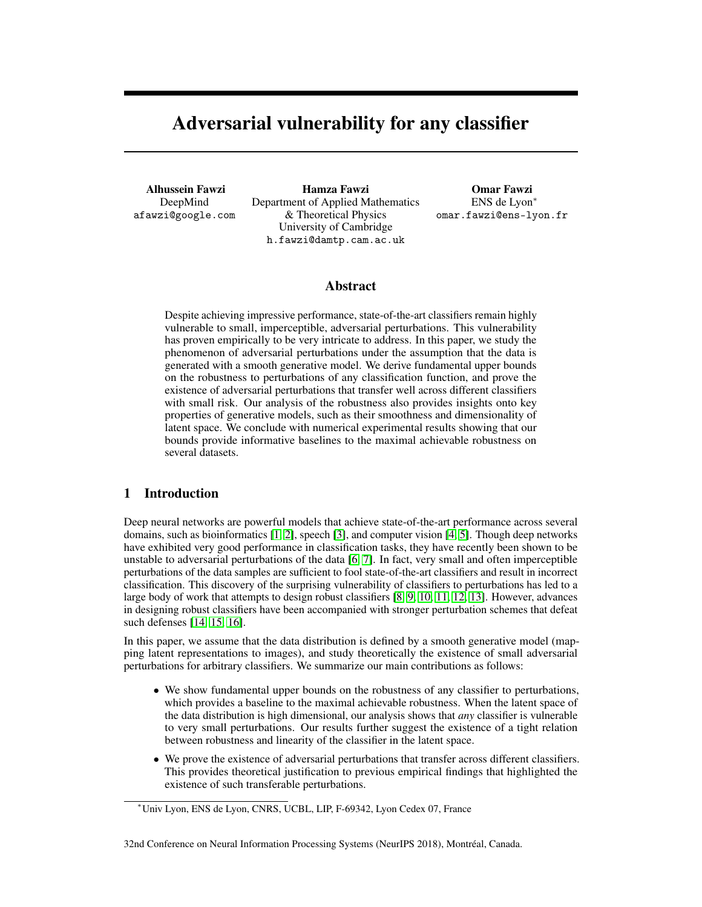# Adversarial vulnerability for any classifier

Alhussein Fawzi DeepMind afawzi@google.com

Hamza Fawzi Department of Applied Mathematics & Theoretical Physics University of Cambridge h.fawzi@damtp.cam.ac.uk

Omar Fawzi ENS de Lyon<sup>∗</sup> omar.fawzi@ens-lyon.fr

## Abstract

Despite achieving impressive performance, state-of-the-art classifiers remain highly vulnerable to small, imperceptible, adversarial perturbations. This vulnerability has proven empirically to be very intricate to address. In this paper, we study the phenomenon of adversarial perturbations under the assumption that the data is generated with a smooth generative model. We derive fundamental upper bounds on the robustness to perturbations of any classification function, and prove the existence of adversarial perturbations that transfer well across different classifiers with small risk. Our analysis of the robustness also provides insights onto key properties of generative models, such as their smoothness and dimensionality of latent space. We conclude with numerical experimental results showing that our bounds provide informative baselines to the maximal achievable robustness on several datasets.

# 1 Introduction

Deep neural networks are powerful models that achieve state-of-the-art performance across several domains, such as bioinformatics [1, 2], speech [3], and computer vision [4, 5]. Though deep networks have exhibited very good performance in classification tasks, they have recently been shown to be unstable to adversarial perturbations of the data [6, 7]. In fact, very small and often imperceptible perturbations of the data samples are sufficient to fool state-of-the-art classifiers and result in incorrect classification. This discovery of the surprising vulnerability of classifiers to perturbations has led to a large body of work that attempts to design robust classifiers [8, 9, 10, 11, 12, 13]. However, advances in designing robust classifiers have been accompanied with stronger perturbation schemes that defeat such defenses [14, 15, 16].

In this paper, we assume that the data distribution is defined by a smooth generative model (mapping latent representations to images), and study theoretically the existence of small adversarial perturbations for arbitrary classifiers. We summarize our main contributions as follows:

- We show fundamental upper bounds on the robustness of any classifier to perturbations, which provides a baseline to the maximal achievable robustness. When the latent space of the data distribution is high dimensional, our analysis shows that *any* classifier is vulnerable to very small perturbations. Our results further suggest the existence of a tight relation between robustness and linearity of the classifier in the latent space.
- We prove the existence of adversarial perturbations that transfer across different classifiers. This provides theoretical justification to previous empirical findings that highlighted the existence of such transferable perturbations.

<sup>∗</sup>Univ Lyon, ENS de Lyon, CNRS, UCBL, LIP, F-69342, Lyon Cedex 07, France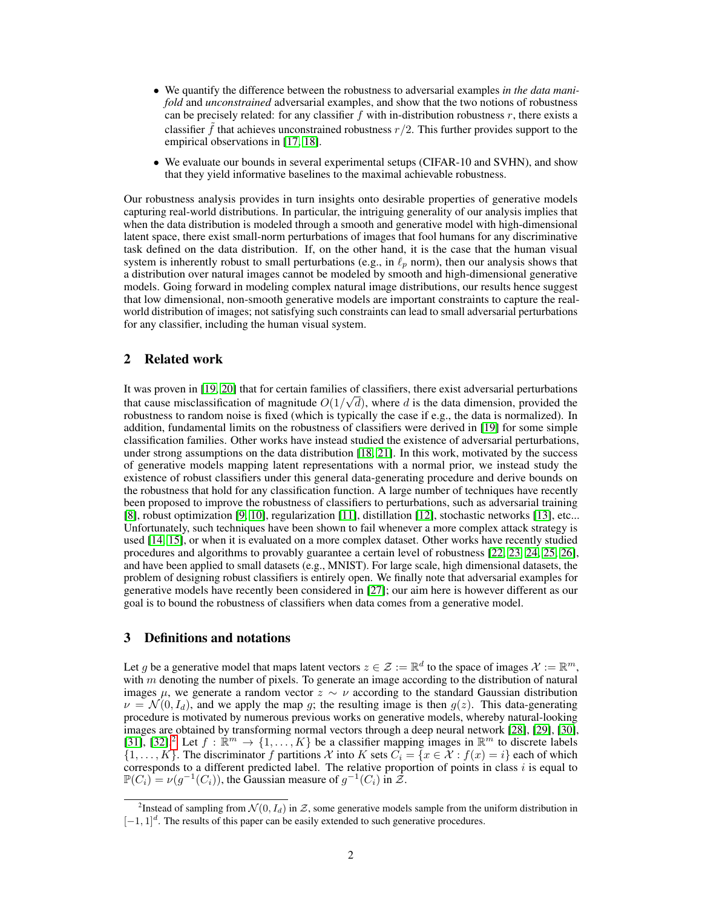- We quantify the difference between the robustness to adversarial examples *in the data manifold* and *unconstrained* adversarial examples, and show that the two notions of robustness can be precisely related: for any classifier  $f$  with in-distribution robustness  $r$ , there exists a classifier  $\tilde{f}$  that achieves unconstrained robustness  $r/2$ . This further provides support to the empirical observations in [17, 18].
- We evaluate our bounds in several experimental setups (CIFAR-10 and SVHN), and show that they yield informative baselines to the maximal achievable robustness.

Our robustness analysis provides in turn insights onto desirable properties of generative models capturing real-world distributions. In particular, the intriguing generality of our analysis implies that when the data distribution is modeled through a smooth and generative model with high-dimensional latent space, there exist small-norm perturbations of images that fool humans for any discriminative task defined on the data distribution. If, on the other hand, it is the case that the human visual system is inherently robust to small perturbations (e.g., in  $\ell_p$  norm), then our analysis shows that a distribution over natural images cannot be modeled by smooth and high-dimensional generative models. Going forward in modeling complex natural image distributions, our results hence suggest that low dimensional, non-smooth generative models are important constraints to capture the realworld distribution of images; not satisfying such constraints can lead to small adversarial perturbations for any classifier, including the human visual system.

# 2 Related work

It was proven in [19, 20] that for certain families of classifiers, there exist adversarial perturbations that cause misclassification of magnitude  $O(1/\sqrt{d})$ , where d is the data dimension, provided the robustness to random noise is fixed (which is typically the case if e.g., the data is normalized). In addition, fundamental limits on the robustness of classifiers were derived in [19] for some simple classification families. Other works have instead studied the existence of adversarial perturbations, under strong assumptions on the data distribution [18, 21]. In this work, motivated by the success of generative models mapping latent representations with a normal prior, we instead study the existence of robust classifiers under this general data-generating procedure and derive bounds on the robustness that hold for any classification function. A large number of techniques have recently been proposed to improve the robustness of classifiers to perturbations, such as adversarial training [8], robust optimization [9, 10], regularization [11], distillation [12], stochastic networks [13], etc... Unfortunately, such techniques have been shown to fail whenever a more complex attack strategy is used [14, 15], or when it is evaluated on a more complex dataset. Other works have recently studied procedures and algorithms to provably guarantee a certain level of robustness [22, 23, 24, 25, 26], and have been applied to small datasets (e.g., MNIST). For large scale, high dimensional datasets, the problem of designing robust classifiers is entirely open. We finally note that adversarial examples for generative models have recently been considered in [27]; our aim here is however different as our goal is to bound the robustness of classifiers when data comes from a generative model.

## 3 Definitions and notations

Let g be a generative model that maps latent vectors  $z \in \mathcal{Z} := \mathbb{R}^d$  to the space of images  $\mathcal{X} := \mathbb{R}^m$ , with m denoting the number of pixels. To generate an image according to the distribution of natural images  $\mu$ , we generate a random vector  $z \sim \nu$  according to the standard Gaussian distribution  $\nu = \mathcal{N}(0, I_d)$ , and we apply the map g; the resulting image is then  $g(z)$ . This data-generating procedure is motivated by numerous previous works on generative models, whereby natural-looking images are obtained by transforming normal vectors through a deep neural network [28], [29], [30], [31], [32].<sup>2</sup> Let  $f : \mathbb{R}^m \to \{1, ..., K\}$  be a classifier mapping images in  $\mathbb{R}^m$  to discrete labels  $\{1,\ldots,K\}$ . The discriminator f partitions X into K sets  $C_i = \{x \in \mathcal{X} : f(x) = i\}$  each of which corresponds to a different predicted label. The relative proportion of points in class  $i$  is equal to  $\mathbb{P}(C_i) = \nu(g^{-1}(C_i))$ , the Gaussian measure of  $g^{-1}(C_i)$  in  $\mathcal{Z}$ .

<sup>&</sup>lt;sup>2</sup>Instead of sampling from  $\mathcal{N}(0, I_d)$  in  $\mathcal{Z}$ , some generative models sample from the uniform distribution in  $[-1, 1]^d$ . The results of this paper can be easily extended to such generative procedures.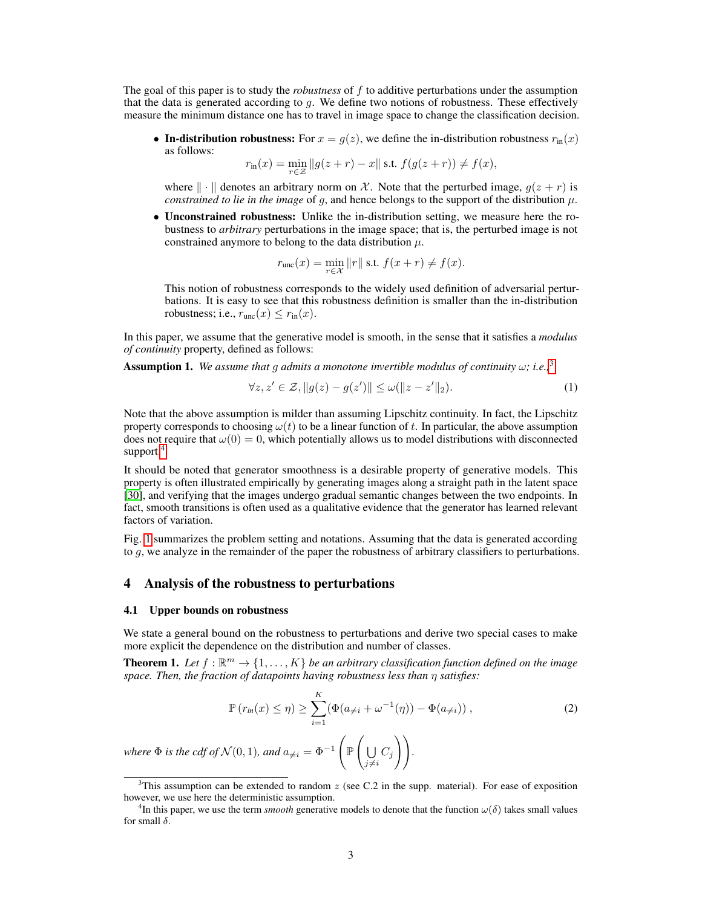The goal of this paper is to study the *robustness* of f to additive perturbations under the assumption that the data is generated according to  $q$ . We define two notions of robustness. These effectively measure the minimum distance one has to travel in image space to change the classification decision.

• In-distribution robustness: For  $x = g(z)$ , we define the in-distribution robustness  $r_{\text{in}}(x)$ as follows:

$$
r_{\text{in}}(x) = \min_{r \in \mathcal{Z}} \| g(z + r) - x \| \text{ s.t. } f(g(z + r)) \neq f(x),
$$

where  $\|\cdot\|$  denotes an arbitrary norm on X. Note that the perturbed image,  $g(z + r)$  is *constrained to lie in the image* of q, and hence belongs to the support of the distribution  $\mu$ .

• Unconstrained robustness: Unlike the in-distribution setting, we measure here the robustness to *arbitrary* perturbations in the image space; that is, the perturbed image is not constrained anymore to belong to the data distribution  $\mu$ .

$$
r_{\text{unc}}(x) = \min_{r \in \mathcal{X}} \|r\| \text{ s.t. } f(x+r) \neq f(x).
$$

This notion of robustness corresponds to the widely used definition of adversarial perturbations. It is easy to see that this robustness definition is smaller than the in-distribution robustness; i.e.,  $r_{\text{unc}}(x) \le r_{\text{in}}(x)$ .

In this paper, we assume that the generative model is smooth, in the sense that it satisfies a *modulus of continuity* property, defined as follows:

**Assumption 1.** We assume that q admits a monotone invertible modulus of continuity  $\omega$ ; i.e.,<sup>3</sup>

$$
\forall z, z' \in \mathcal{Z}, \|g(z) - g(z')\| \le \omega(\|z - z'\|_2). \tag{1}
$$

Note that the above assumption is milder than assuming Lipschitz continuity. In fact, the Lipschitz property corresponds to choosing  $\omega(t)$  to be a linear function of t. In particular, the above assumption does not require that  $\omega(0) = 0$ , which potentially allows us to model distributions with disconnected support.<sup>4</sup>

It should be noted that generator smoothness is a desirable property of generative models. This property is often illustrated empirically by generating images along a straight path in the latent space [30], and verifying that the images undergo gradual semantic changes between the two endpoints. In fact, smooth transitions is often used as a qualitative evidence that the generator has learned relevant factors of variation.

Fig. 1 summarizes the problem setting and notations. Assuming that the data is generated according to  $g$ , we analyze in the remainder of the paper the robustness of arbitrary classifiers to perturbations.

## 4 Analysis of the robustness to perturbations

#### 4.1 Upper bounds on robustness

We state a general bound on the robustness to perturbations and derive two special cases to make more explicit the dependence on the distribution and number of classes.

**Theorem 1.** Let  $f : \mathbb{R}^m \to \{1, ..., K\}$  be an arbitrary classification function defined on the image *space. Then, the fraction of datapoints having robustness less than* η *satisfies:*

$$
\mathbb{P}(r_{in}(x) \le \eta) \ge \sum_{i=1}^{K} (\Phi(a_{\neq i} + \omega^{-1}(\eta)) - \Phi(a_{\neq i})) ,
$$
 (2)

*where*  $\Phi$  *is the cdf of*  $\mathcal{N}(0, 1)$ *, and*  $a_{\neq i} = \Phi^{-1}$  $\int_{\mathbb{P}}\int$ U  $\bigcup_{j\neq i} C_j\bigg)\bigg).$ 

<sup>&</sup>lt;sup>3</sup>This assumption can be extended to random  $z$  (see C.2 in the supp. material). For ease of exposition however, we use here the deterministic assumption.

<sup>&</sup>lt;sup>4</sup>In this paper, we use the term *smooth* generative models to denote that the function  $\omega(\delta)$  takes small values for small  $\delta$ .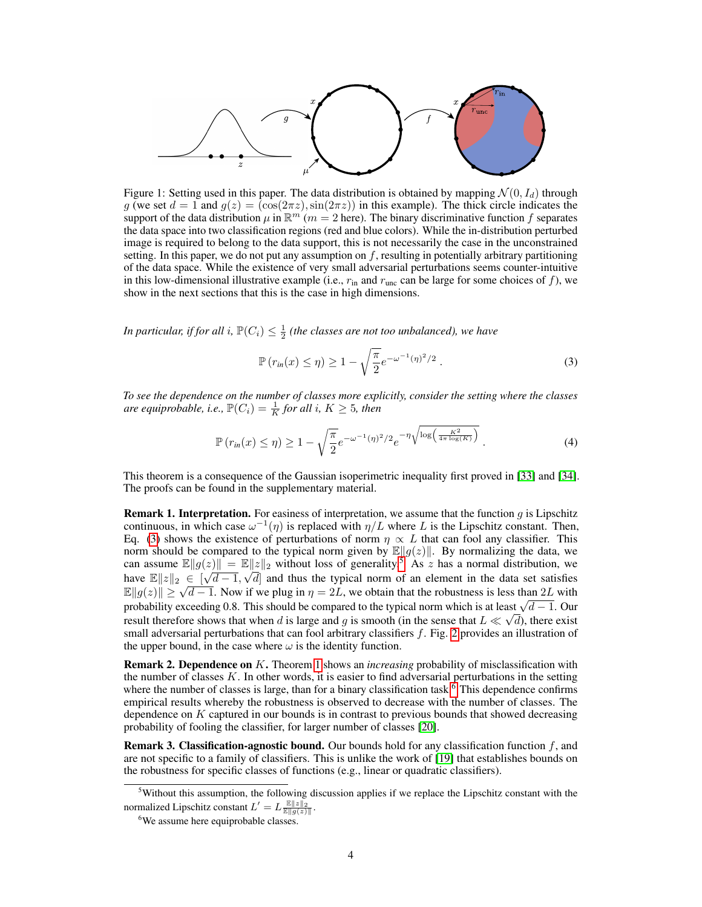

Figure 1: Setting used in this paper. The data distribution is obtained by mapping  $\mathcal{N}(0, I_d)$  through g (we set  $d = 1$  and  $g(z) = (\cos(2\pi z), \sin(2\pi z))$  in this example). The thick circle indicates the support of the data distribution  $\mu$  in  $\mathbb{R}^m$  ( $m = 2$  here). The binary discriminative function f separates the data space into two classification regions (red and blue colors). While the in-distribution perturbed image is required to belong to the data support, this is not necessarily the case in the unconstrained setting. In this paper, we do not put any assumption on  $f$ , resulting in potentially arbitrary partitioning of the data space. While the existence of very small adversarial perturbations seems counter-intuitive in this low-dimensional illustrative example (i.e.,  $r_{\text{in}}$  and  $r_{\text{unc}}$  can be large for some choices of f), we show in the next sections that this is the case in high dimensions.

In particular, if for all i,  $\mathbb{P}(C_i) \leq \frac{1}{2}$  (the classes are not too unbalanced), we have

$$
\mathbb{P}(r_{in}(x) \le \eta) \ge 1 - \sqrt{\frac{\pi}{2}} e^{-\omega^{-1}(\eta)^2/2} . \tag{3}
$$

*To see the dependence on the number of classes more explicitly, consider the setting where the classes are equiprobable, i.e.,*  $\mathbb{P}(C_i) = \frac{1}{K}$  for all i,  $K \geq 5$ , then

$$
\mathbb{P}\left(r_{in}(x) \le \eta\right) \ge 1 - \sqrt{\frac{\pi}{2}} e^{-\omega^{-1}(\eta)^2/2} e^{-\eta \sqrt{\log\left(\frac{K^2}{4\pi \log(K)}\right)}}.
$$
\n(4)

This theorem is a consequence of the Gaussian isoperimetric inequality first proved in [33] and [34]. The proofs can be found in the supplementary material.

**Remark 1. Interpretation.** For easiness of interpretation, we assume that the function  $q$  is Lipschitz continuous, in which case  $\omega^{-1}(\eta)$  is replaced with  $\eta/L$  where L is the Lipschitz constant. Then, Eq. (3) shows the existence of perturbations of norm  $\eta \propto L$  that can fool any classifier. This norm should be compared to the typical norm given by  $\mathbb{E}||g(z)||$ . By normalizing the data, we can assume  $\mathbb{E} \|g(z)\| = \mathbb{E} \|z\|_2$  without loss of generality.<sup>5</sup> As z has a normal distribution, we have  $\mathbb{E} \|z\|_2 \in [\sqrt{d-1}, \sqrt{d}]$  and thus the typical norm of an element in the data set satisfies mave  $\mathbb{E}||z||_2 \in |\nabla u - 1, \nabla u|$  and thus the typical florm of an element in the data set sausities  $\mathbb{E}||g(z)|| \ge \sqrt{d-1}$ . Now if we plug in  $\eta = 2L$ , we obtain that the robustness is less than 2L with  $\mathbb{E} \|g(z)\| \geq \sqrt{a-1}$ . Now It we plug in  $\eta = 2L$ , we obtain that the robustness is less than 2L with probability exceeding 0.8. This should be compared to the typical norm which is at least  $\sqrt{d-1}$ . Our result therefore shows that when d is large and g is smooth (in the sense that  $L \ll \sqrt{d}$ ), there exist small adversarial perturbations that can fool arbitrary classifiers  $f$ . Fig. 2 provides an illustration of the upper bound, in the case where  $\omega$  is the identity function.

Remark 2. Dependence on K. Theorem 1 shows an *increasing* probability of misclassification with the number of classes  $K$ . In other words, it is easier to find adversarial perturbations in the setting where the number of classes is large, than for a binary classification task.<sup>6</sup> This dependence confirms empirical results whereby the robustness is observed to decrease with the number of classes. The dependence on  $K$  captured in our bounds is in contrast to previous bounds that showed decreasing probability of fooling the classifier, for larger number of classes [20].

**Remark 3. Classification-agnostic bound.** Our bounds hold for any classification function  $f$ , and are not specific to a family of classifiers. This is unlike the work of [19] that establishes bounds on the robustness for specific classes of functions (e.g., linear or quadratic classifiers).

<sup>5</sup>Without this assumption, the following discussion applies if we replace the Lipschitz constant with the normalized Lipschitz constant  $L' = L \frac{\mathbb{E} ||z||_2}{\mathbb{E} ||g(z)||}$ .

<sup>&</sup>lt;sup>6</sup>We assume here equiprobable classes.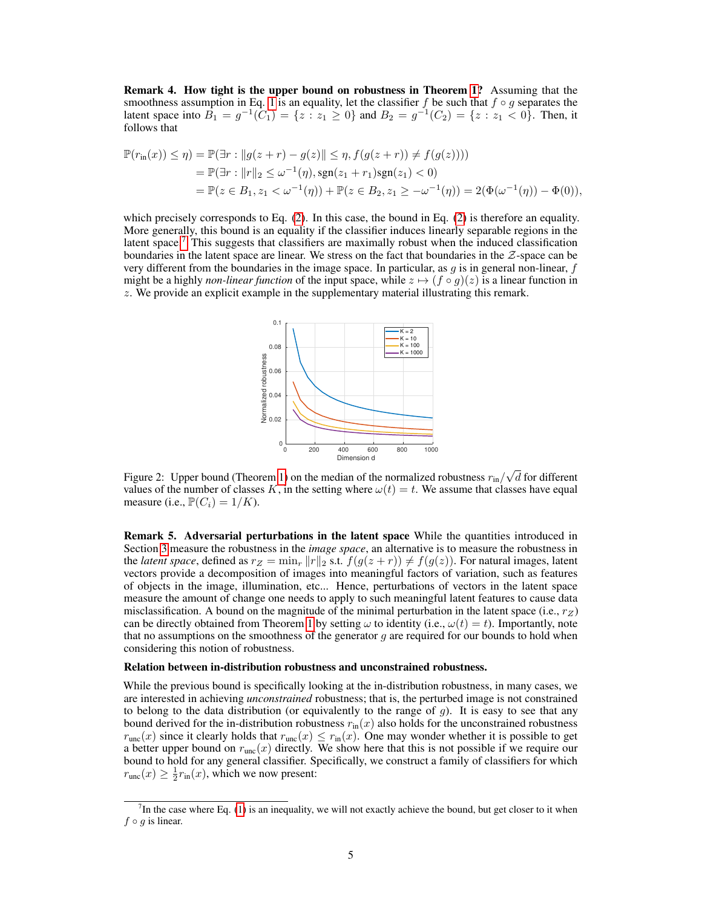Remark 4. How tight is the upper bound on robustness in Theorem 1? Assuming that the smoothness assumption in Eq. 1 is an equality, let the classifier f be such that  $f \circ g$  separates the latent space into  $B_1 = g^{-1}(\tilde{C}_1) = \{z : z_1 \ge 0\}$  and  $B_2 = g^{-1}(C_2) = \{z : z_1 < 0\}$ . Then, it follows that

$$
\mathbb{P}(r_{\text{in}}(x)) \le \eta) = \mathbb{P}(\exists r : \|g(z+r) - g(z)\| \le \eta, f(g(z+r)) \ne f(g(z)))
$$
  
= 
$$
\mathbb{P}(\exists r : \|r\|_2 \le \omega^{-1}(\eta), \text{sgn}(z_1 + r_1)\text{sgn}(z_1) < 0)
$$
  
= 
$$
\mathbb{P}(z \in B_1, z_1 < \omega^{-1}(\eta)) + \mathbb{P}(z \in B_2, z_1 \ge -\omega^{-1}(\eta)) = 2(\Phi(\omega^{-1}(\eta)) - \Phi(0)),
$$

which precisely corresponds to Eq. (2). In this case, the bound in Eq. (2) is therefore an equality. More generally, this bound is an equality if the classifier induces linearly separable regions in the latent space.<sup>7</sup> This suggests that classifiers are maximally robust when the induced classification boundaries in the latent space are linear. We stress on the fact that boundaries in the  $Z$ -space can be very different from the boundaries in the image space. In particular, as  $g$  is in general non-linear,  $f$ might be a highly *non-linear function* of the input space, while  $z \mapsto (f \circ g)(z)$  is a linear function in z. We provide an explicit example in the supplementary material illustrating this remark.



Figure 2: Upper bound (Theorem 1) on the median of the normalized robustness  $r_{\text{in}}/r$ √ d for different values of the number of classes K, in the setting where  $\omega(t) = t$ . We assume that classes have equal measure (i.e.,  $\mathbb{P}(C_i) = 1/K$ ).

Remark 5. Adversarial perturbations in the latent space While the quantities introduced in Section 3 measure the robustness in the *image space*, an alternative is to measure the robustness in the *latent space*, defined as  $r_Z = \min_r ||r||_2$  s.t.  $f(g(z + r)) \neq f(g(z))$ . For natural images, latent vectors provide a decomposition of images into meaningful factors of variation, such as features of objects in the image, illumination, etc... Hence, perturbations of vectors in the latent space measure the amount of change one needs to apply to such meaningful latent features to cause data misclassification. A bound on the magnitude of the minimal perturbation in the latent space (i.e.,  $r_Z$ ) can be directly obtained from Theorem 1 by setting  $\omega$  to identity (i.e.,  $\omega(t) = t$ ). Importantly, note that no assumptions on the smoothness of the generator  $g$  are required for our bounds to hold when considering this notion of robustness.

#### Relation between in-distribution robustness and unconstrained robustness.

While the previous bound is specifically looking at the in-distribution robustness, in many cases, we are interested in achieving *unconstrained* robustness; that is, the perturbed image is not constrained to belong to the data distribution (or equivalently to the range of  $g$ ). It is easy to see that any bound derived for the in-distribution robustness  $r_{\text{in}}(x)$  also holds for the unconstrained robustness  $r_{\text{unc}}(x)$  since it clearly holds that  $r_{\text{unc}}(x) \le r_{\text{in}}(x)$ . One may wonder whether it is possible to get a better upper bound on  $r_{\text{unc}}(x)$  directly. We show here that this is not possible if we require our bound to hold for any general classifier. Specifically, we construct a family of classifiers for which  $r_{\text{unc}}(x) \geq \frac{1}{2} r_{\text{in}}(x)$ , which we now present:

 $<sup>7</sup>$ In the case where Eq. (1) is an inequality, we will not exactly achieve the bound, but get closer to it when</sup>  $f \circ q$  is linear.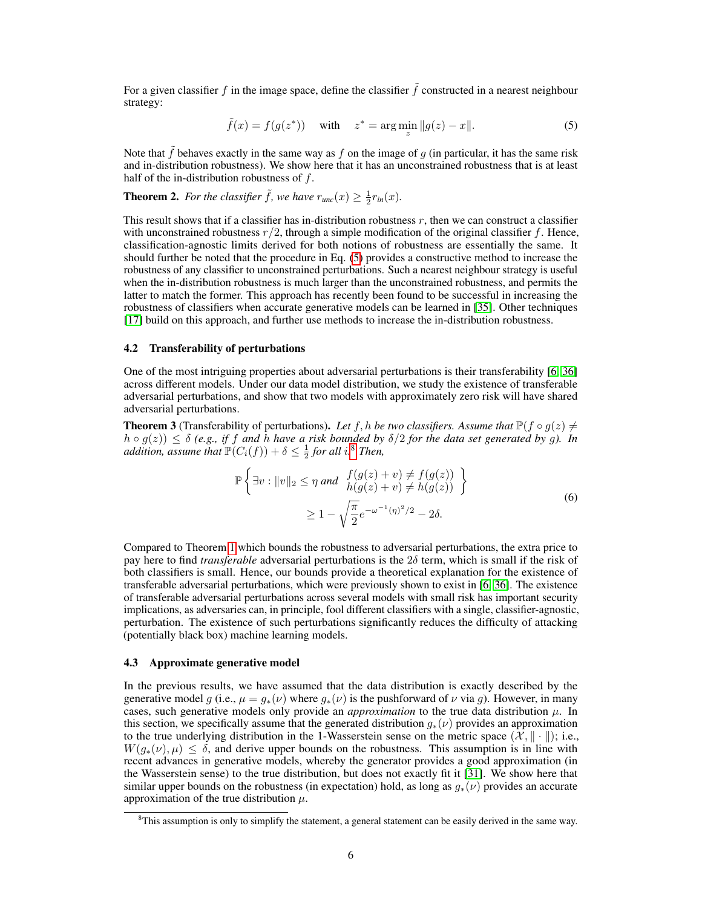For a given classifier f in the image space, define the classifier  $\tilde{f}$  constructed in a nearest neighbour strategy:

$$
\tilde{f}(x) = f(g(z^*))
$$
 with  $z^* = \arg\min_{z} ||g(z) - x||$ . (5)

Note that  $\hat{f}$  behaves exactly in the same way as  $f$  on the image of  $g$  (in particular, it has the same risk and in-distribution robustness). We show here that it has an unconstrained robustness that is at least half of the in-distribution robustness of  $f$ .

**Theorem 2.** For the classifier  $\tilde{f}$ , we have  $r_{unc}(x) \geq \frac{1}{2}r_{in}(x)$ .

This result shows that if a classifier has in-distribution robustness  $r$ , then we can construct a classifier with unconstrained robustness  $r/2$ , through a simple modification of the original classifier f. Hence, classification-agnostic limits derived for both notions of robustness are essentially the same. It should further be noted that the procedure in Eq. (5) provides a constructive method to increase the robustness of any classifier to unconstrained perturbations. Such a nearest neighbour strategy is useful when the in-distribution robustness is much larger than the unconstrained robustness, and permits the latter to match the former. This approach has recently been found to be successful in increasing the robustness of classifiers when accurate generative models can be learned in [35]. Other techniques [17] build on this approach, and further use methods to increase the in-distribution robustness.

#### 4.2 Transferability of perturbations

One of the most intriguing properties about adversarial perturbations is their transferability [6, 36] across different models. Under our data model distribution, we study the existence of transferable adversarial perturbations, and show that two models with approximately zero risk will have shared adversarial perturbations.

**Theorem 3** (Transferability of perturbations). Let f, h be two classifiers. Assume that  $\mathbb{P}(f \circ q(z) \neq 0)$  $h \circ g(z)$   $\leq \delta$  (e.g., if f and h have a risk bounded by  $\delta/2$  for the data set generated by g). In *addition, assume that*  $\mathbb{P}(C_i(f)) + \delta \leq \frac{1}{2}$  for all i.<sup>8</sup> Then,

$$
\mathbb{P}\left\{\exists v : \|v\|_2 \le \eta \text{ and } \begin{aligned} f(g(z) + v) &\ne f(g(z)) \\ h(g(z) + v) &\ne h(g(z)) \end{aligned} \right\} \\ \ge 1 - \sqrt{\frac{\pi}{2}} e^{-\omega^{-1}(\eta)^2/2} - 2\delta. \tag{6}
$$

Compared to Theorem 1 which bounds the robustness to adversarial perturbations, the extra price to pay here to find *transferable* adversarial perturbations is the 2δ term, which is small if the risk of both classifiers is small. Hence, our bounds provide a theoretical explanation for the existence of transferable adversarial perturbations, which were previously shown to exist in [6, 36]. The existence of transferable adversarial perturbations across several models with small risk has important security implications, as adversaries can, in principle, fool different classifiers with a single, classifier-agnostic, perturbation. The existence of such perturbations significantly reduces the difficulty of attacking (potentially black box) machine learning models.

#### 4.3 Approximate generative model

In the previous results, we have assumed that the data distribution is exactly described by the generative model g (i.e.,  $\mu = g_*(\nu)$  where  $g_*(\nu)$  is the pushforward of  $\nu$  via g). However, in many cases, such generative models only provide an *approximation* to the true data distribution  $\mu$ . In this section, we specifically assume that the generated distribution  $g_*(v)$  provides an approximation to the true underlying distribution in the 1-Wasserstein sense on the metric space  $(\mathcal{X}, \|\cdot\|)$ ; i.e.,  $W(g_*(\nu), \mu) \leq \delta$ , and derive upper bounds on the robustness. This assumption is in line with recent advances in generative models, whereby the generator provides a good approximation (in the Wasserstein sense) to the true distribution, but does not exactly fit it [31]. We show here that similar upper bounds on the robustness (in expectation) hold, as long as  $g_*(v)$  provides an accurate approximation of the true distribution  $\mu$ .

<sup>&</sup>lt;sup>8</sup>This assumption is only to simplify the statement, a general statement can be easily derived in the same way.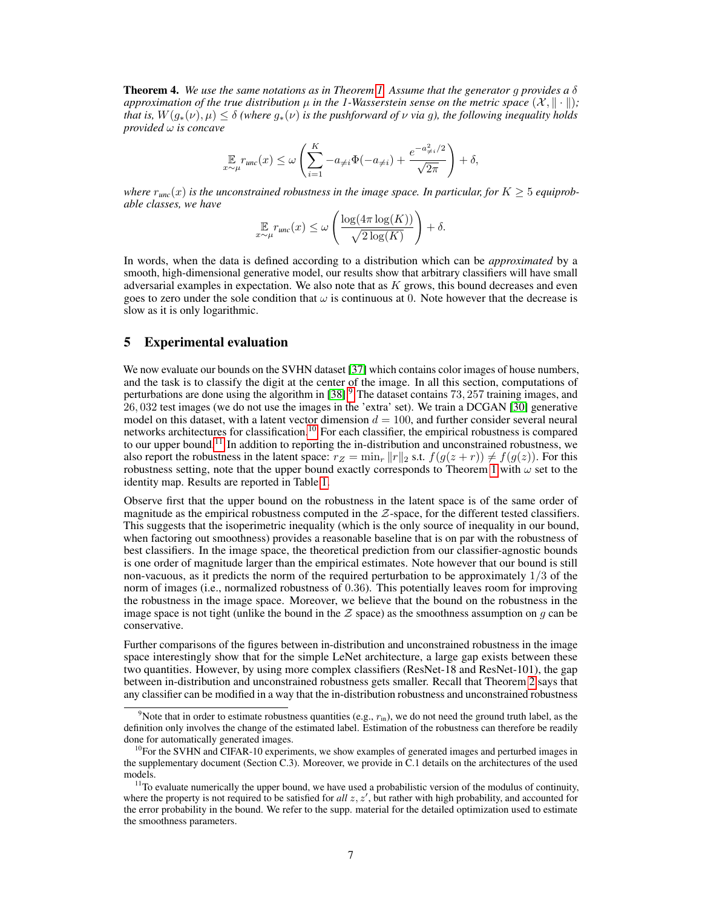Theorem 4. *We use the same notations as in Theorem 1. Assume that the generator* g *provides a* δ *approximation of the true distribution*  $\mu$  *in the 1-Wasserstein sense on the metric space*  $(\mathcal{X}, \|\cdot\|)$ ; *that is,*  $W(q_*(\nu), \mu) \leq \delta$  *(where*  $q_*(\nu)$  *is the pushforward of*  $\nu$  *via*  $q$ *), the following inequality holds provided* ω *is concave*

$$
\mathop{\mathbb{E}}_{x \sim \mu} r_{unc}(x) \le \omega \left( \sum_{i=1}^{K} -a_{\neq i} \Phi(-a_{\neq i}) + \frac{e^{-a_{\neq i}^2/2}}{\sqrt{2\pi}} \right) + \delta,
$$

*where*  $r_{unc}(x)$  *is the unconstrained robustness in the image space. In particular, for*  $K \geq 5$  *equiprobable classes, we have*

$$
\mathop{\mathbb{E}}_{x \sim \mu} r_{\text{unc}}(x) \le \omega \left( \frac{\log(4\pi \log(K))}{\sqrt{2\log(K)}} \right) + \delta.
$$

In words, when the data is defined according to a distribution which can be *approximated* by a smooth, high-dimensional generative model, our results show that arbitrary classifiers will have small adversarial examples in expectation. We also note that as  $K$  grows, this bound decreases and even goes to zero under the sole condition that  $\omega$  is continuous at 0. Note however that the decrease is slow as it is only logarithmic.

## 5 Experimental evaluation

We now evaluate our bounds on the SVHN dataset [37] which contains color images of house numbers, and the task is to classify the digit at the center of the image. In all this section, computations of perturbations are done using the algorithm in [38].<sup>9</sup> The dataset contains 73, 257 training images, and 26, 032 test images (we do not use the images in the 'extra' set). We train a DCGAN [30] generative model on this dataset, with a latent vector dimension  $d = 100$ , and further consider several neural networks architectures for classification.<sup>10</sup> For each classifier, the empirical robustness is compared to our upper bound.<sup>11</sup> In addition to reporting the in-distribution and unconstrained robustness, we also report the robustness in the latent space:  $r_Z = \min_r ||r||_2$  s.t.  $f(g(z + r)) \neq f(g(z))$ . For this robustness setting, note that the upper bound exactly corresponds to Theorem 1 with  $\omega$  set to the identity map. Results are reported in Table 1.

Observe first that the upper bound on the robustness in the latent space is of the same order of magnitude as the empirical robustness computed in the  $Z$ -space, for the different tested classifiers. This suggests that the isoperimetric inequality (which is the only source of inequality in our bound, when factoring out smoothness) provides a reasonable baseline that is on par with the robustness of best classifiers. In the image space, the theoretical prediction from our classifier-agnostic bounds is one order of magnitude larger than the empirical estimates. Note however that our bound is still non-vacuous, as it predicts the norm of the required perturbation to be approximately 1/3 of the norm of images (i.e., normalized robustness of 0.36). This potentially leaves room for improving the robustness in the image space. Moreover, we believe that the bound on the robustness in the image space is not tight (unlike the bound in the  $Z$  space) as the smoothness assumption on q can be conservative.

Further comparisons of the figures between in-distribution and unconstrained robustness in the image space interestingly show that for the simple LeNet architecture, a large gap exists between these two quantities. However, by using more complex classifiers (ResNet-18 and ResNet-101), the gap between in-distribution and unconstrained robustness gets smaller. Recall that Theorem 2 says that any classifier can be modified in a way that the in-distribution robustness and unconstrained robustness

<sup>&</sup>lt;sup>9</sup>Note that in order to estimate robustness quantities (e.g.,  $r_{\text{in}}$ ), we do not need the ground truth label, as the definition only involves the change of the estimated label. Estimation of the robustness can therefore be readily done for automatically generated images.

 $10$ For the SVHN and CIFAR-10 experiments, we show examples of generated images and perturbed images in the supplementary document (Section C.3). Moreover, we provide in C.1 details on the architectures of the used models.

 $<sup>11</sup>$ To evaluate numerically the upper bound, we have used a probabilistic version of the modulus of continuity,</sup> where the property is not required to be satisfied for  $all z, z'$ , but rather with high probability, and accounted for the error probability in the bound. We refer to the supp. material for the detailed optimization used to estimate the smoothness parameters.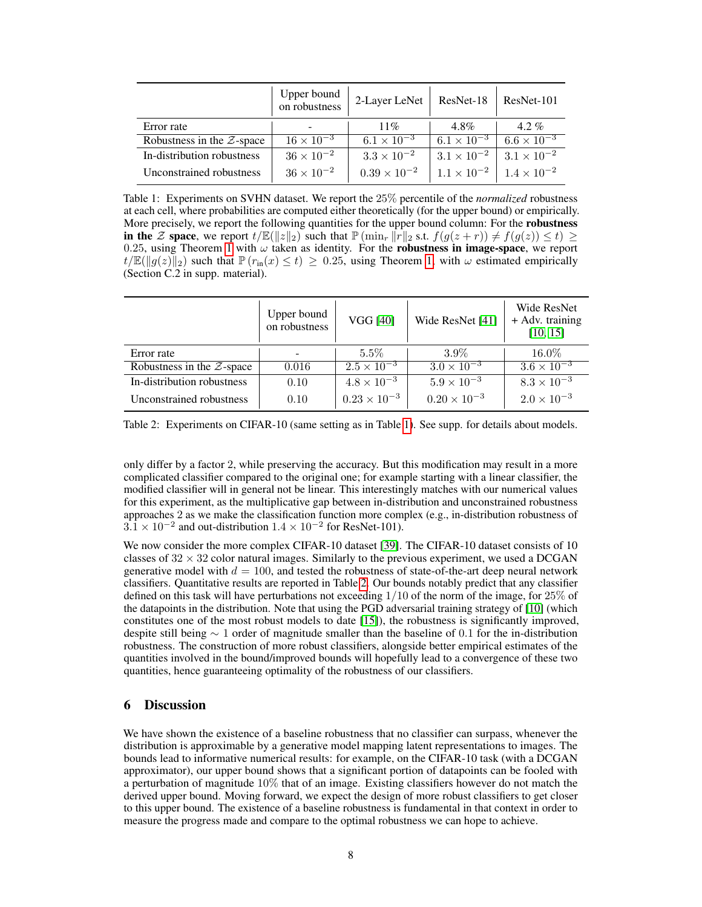|                              | Upper bound<br>on robustness | 2-Layer LeNet         | ResNet-18            | ResNet-101           |
|------------------------------|------------------------------|-----------------------|----------------------|----------------------|
| Error rate                   |                              | $11\%$                | $4.8\%$              | $4.2\%$              |
| Robustness in the $Z$ -space | $16 \times 10^{-3}$          | $6.1 \times 10^{-3}$  | $6.1 \times 10^{-3}$ | $6.6 \times 10^{-3}$ |
| In-distribution robustness   | $36 \times 10^{-2}$          | $3.3 \times 10^{-2}$  | $3.1 \times 10^{-2}$ | $3.1 \times 10^{-2}$ |
| Unconstrained robustness     | $36 \times 10^{-2}$          | $0.39 \times 10^{-2}$ | $1.1 \times 10^{-2}$ | $1.4 \times 10^{-2}$ |

Table 1: Experiments on SVHN dataset. We report the 25% percentile of the *normalized* robustness at each cell, where probabilities are computed either theoretically (for the upper bound) or empirically. More precisely, we report the following quantities for the upper bound column: For the **robustness** in the Z space, we report  $t/\mathbb{E}(\Vert z\Vert_2)$  such that  $\mathbb{P}(\min_r \Vert r \Vert_2 \text{ s.t. } f(g(z+r)) \neq f(g(z)) \leq t) \geq 0$ 0.25, using Theorem 1 with  $\omega$  taken as identity. For the **robustness in image-space**, we report  $t/\mathbb{E}(\Vert g(z)\Vert_2)$  such that  $\mathbb{P}(r_{\text{in}}(x)\leq t) \geq 0.25$ , using Theorem 1, with  $\omega$  estimated empirically (Section C.2 in supp. material).

|                              | Upper bound<br>on robustness | <b>VGG [40]</b>       | Wide ResNet [41]      | Wide ResNet<br>+ Adv. training<br>[10, 15] |
|------------------------------|------------------------------|-----------------------|-----------------------|--------------------------------------------|
| Error rate                   |                              | $5.5\%$               | $3.9\%$               | $16.0\%$                                   |
| Robustness in the $Z$ -space | 0.016                        | $2.5 \times 10^{-3}$  | $3.0 \times 10^{-3}$  | $3.6 \times 10^{-3}$                       |
| In-distribution robustness   | 0.10                         | $4.8 \times 10^{-3}$  | $5.9 \times 10^{-3}$  | $8.3 \times 10^{-3}$                       |
| Unconstrained robustness     | 0.10                         | $0.23 \times 10^{-3}$ | $0.20 \times 10^{-3}$ | $2.0 \times 10^{-3}$                       |

Table 2: Experiments on CIFAR-10 (same setting as in Table 1). See supp. for details about models.

only differ by a factor 2, while preserving the accuracy. But this modification may result in a more complicated classifier compared to the original one; for example starting with a linear classifier, the modified classifier will in general not be linear. This interestingly matches with our numerical values for this experiment, as the multiplicative gap between in-distribution and unconstrained robustness approaches 2 as we make the classification function more complex (e.g., in-distribution robustness of  $3.1 \times 10^{-2}$  and out-distribution  $1.4 \times 10^{-2}$  for ResNet-101).

We now consider the more complex CIFAR-10 dataset [39]. The CIFAR-10 dataset consists of 10 classes of  $32 \times 32$  color natural images. Similarly to the previous experiment, we used a DCGAN generative model with  $d = 100$ , and tested the robustness of state-of-the-art deep neural network classifiers. Quantitative results are reported in Table 2. Our bounds notably predict that any classifier defined on this task will have perturbations not exceeding  $1/10$  of the norm of the image, for  $25\%$  of the datapoints in the distribution. Note that using the PGD adversarial training strategy of [10] (which constitutes one of the most robust models to date [15]), the robustness is significantly improved, despite still being ∼ 1 order of magnitude smaller than the baseline of 0.1 for the in-distribution robustness. The construction of more robust classifiers, alongside better empirical estimates of the quantities involved in the bound/improved bounds will hopefully lead to a convergence of these two quantities, hence guaranteeing optimality of the robustness of our classifiers.

# 6 Discussion

We have shown the existence of a baseline robustness that no classifier can surpass, whenever the distribution is approximable by a generative model mapping latent representations to images. The bounds lead to informative numerical results: for example, on the CIFAR-10 task (with a DCGAN approximator), our upper bound shows that a significant portion of datapoints can be fooled with a perturbation of magnitude  $10\%$  that of an image. Existing classifiers however do not match the derived upper bound. Moving forward, we expect the design of more robust classifiers to get closer to this upper bound. The existence of a baseline robustness is fundamental in that context in order to measure the progress made and compare to the optimal robustness we can hope to achieve.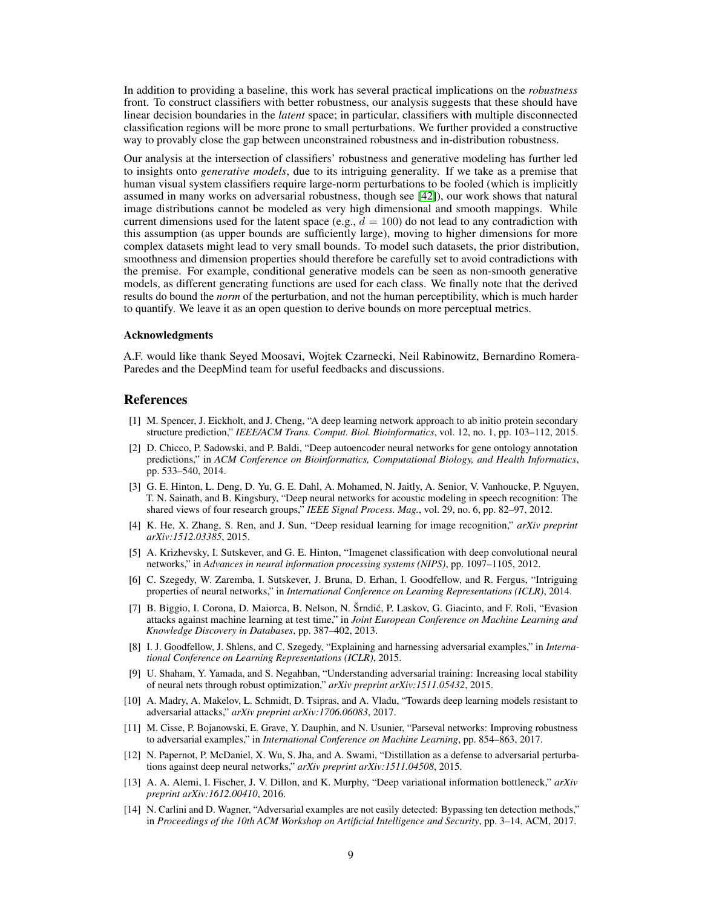In addition to providing a baseline, this work has several practical implications on the *robustness* front. To construct classifiers with better robustness, our analysis suggests that these should have linear decision boundaries in the *latent* space; in particular, classifiers with multiple disconnected classification regions will be more prone to small perturbations. We further provided a constructive way to provably close the gap between unconstrained robustness and in-distribution robustness.

Our analysis at the intersection of classifiers' robustness and generative modeling has further led to insights onto *generative models*, due to its intriguing generality. If we take as a premise that human visual system classifiers require large-norm perturbations to be fooled (which is implicitly assumed in many works on adversarial robustness, though see [42]), our work shows that natural image distributions cannot be modeled as very high dimensional and smooth mappings. While current dimensions used for the latent space (e.g.,  $d = 100$ ) do not lead to any contradiction with this assumption (as upper bounds are sufficiently large), moving to higher dimensions for more complex datasets might lead to very small bounds. To model such datasets, the prior distribution, smoothness and dimension properties should therefore be carefully set to avoid contradictions with the premise. For example, conditional generative models can be seen as non-smooth generative models, as different generating functions are used for each class. We finally note that the derived results do bound the *norm* of the perturbation, and not the human perceptibility, which is much harder to quantify. We leave it as an open question to derive bounds on more perceptual metrics.

#### Acknowledgments

A.F. would like thank Seyed Moosavi, Wojtek Czarnecki, Neil Rabinowitz, Bernardino Romera-Paredes and the DeepMind team for useful feedbacks and discussions.

### **References**

- [1] M. Spencer, J. Eickholt, and J. Cheng, "A deep learning network approach to ab initio protein secondary structure prediction," *IEEE/ACM Trans. Comput. Biol. Bioinformatics*, vol. 12, no. 1, pp. 103–112, 2015.
- [2] D. Chicco, P. Sadowski, and P. Baldi, "Deep autoencoder neural networks for gene ontology annotation predictions," in *ACM Conference on Bioinformatics, Computational Biology, and Health Informatics*, pp. 533–540, 2014.
- [3] G. E. Hinton, L. Deng, D. Yu, G. E. Dahl, A. Mohamed, N. Jaitly, A. Senior, V. Vanhoucke, P. Nguyen, T. N. Sainath, and B. Kingsbury, "Deep neural networks for acoustic modeling in speech recognition: The shared views of four research groups," *IEEE Signal Process. Mag.*, vol. 29, no. 6, pp. 82–97, 2012.
- [4] K. He, X. Zhang, S. Ren, and J. Sun, "Deep residual learning for image recognition," *arXiv preprint arXiv:1512.03385*, 2015.
- [5] A. Krizhevsky, I. Sutskever, and G. E. Hinton, "Imagenet classification with deep convolutional neural networks," in *Advances in neural information processing systems (NIPS)*, pp. 1097–1105, 2012.
- [6] C. Szegedy, W. Zaremba, I. Sutskever, J. Bruna, D. Erhan, I. Goodfellow, and R. Fergus, "Intriguing properties of neural networks," in *International Conference on Learning Representations (ICLR)*, 2014.
- [7] B. Biggio, I. Corona, D. Maiorca, B. Nelson, N. Šrndic, P. Laskov, G. Giacinto, and F. Roli, "Evasion ´ attacks against machine learning at test time," in *Joint European Conference on Machine Learning and Knowledge Discovery in Databases*, pp. 387–402, 2013.
- [8] I. J. Goodfellow, J. Shlens, and C. Szegedy, "Explaining and harnessing adversarial examples," in *International Conference on Learning Representations (ICLR)*, 2015.
- [9] U. Shaham, Y. Yamada, and S. Negahban, "Understanding adversarial training: Increasing local stability of neural nets through robust optimization," *arXiv preprint arXiv:1511.05432*, 2015.
- [10] A. Madry, A. Makelov, L. Schmidt, D. Tsipras, and A. Vladu, "Towards deep learning models resistant to adversarial attacks," *arXiv preprint arXiv:1706.06083*, 2017.
- [11] M. Cisse, P. Bojanowski, E. Grave, Y. Dauphin, and N. Usunier, "Parseval networks: Improving robustness to adversarial examples," in *International Conference on Machine Learning*, pp. 854–863, 2017.
- [12] N. Papernot, P. McDaniel, X. Wu, S. Jha, and A. Swami, "Distillation as a defense to adversarial perturbations against deep neural networks," *arXiv preprint arXiv:1511.04508*, 2015.
- [13] A. A. Alemi, I. Fischer, J. V. Dillon, and K. Murphy, "Deep variational information bottleneck," *arXiv preprint arXiv:1612.00410*, 2016.
- [14] N. Carlini and D. Wagner, "Adversarial examples are not easily detected: Bypassing ten detection methods," in *Proceedings of the 10th ACM Workshop on Artificial Intelligence and Security*, pp. 3–14, ACM, 2017.